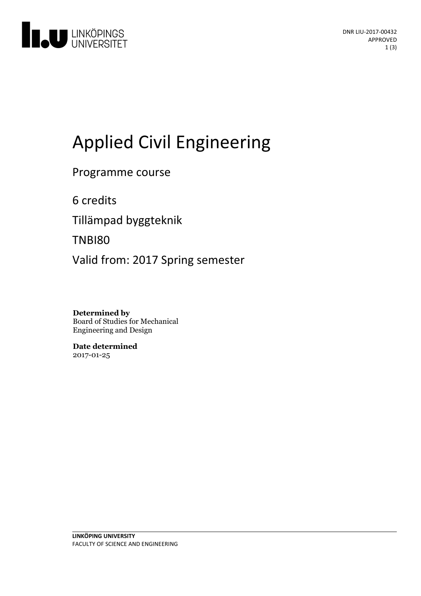

# **Applied Civil Engineering**

Programme course

6 credits

Tillämpad byggteknik

TNBI80

Valid from: 2017 Spring semester

**Determined by** Board of Studies for Mechanical Engineering and Design

**Date determined** 2017-01-25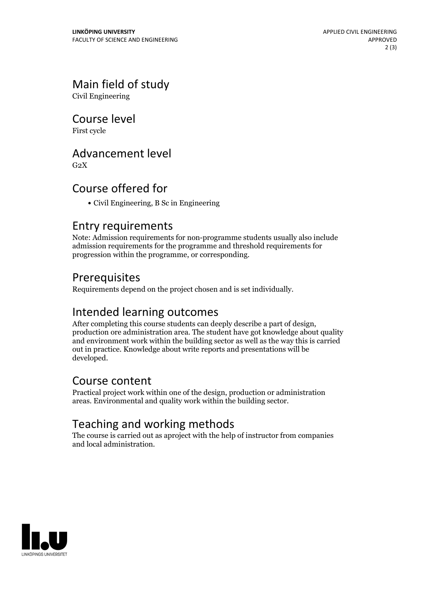# Main field of study

Civil Engineering

Course level

First cycle

#### Advancement level

 $G<sub>2</sub>X$ 

# Course offered for

Civil Engineering, B Sc in Engineering

#### Entry requirements

Note: Admission requirements for non-programme students usually also include admission requirements for the programme and threshold requirements for progression within the programme, or corresponding.

#### Prerequisites

Requirements depend on the project chosen and is set individually.

Intended learning outcomes<br>After completing this course students can deeply describe a part of design, production ore administration area. The student have got knowledge about quality and environment work within the building sector as well as the way this is carried out in practice. Knowledge about write reports and presentations will be developed.

#### Course content

Practical project work within one of the design, production or administration areas. Environmental and quality work within the building sector.

# Teaching and working methods

The course is carried out as aproject with the help of instructor from companies and local administration.